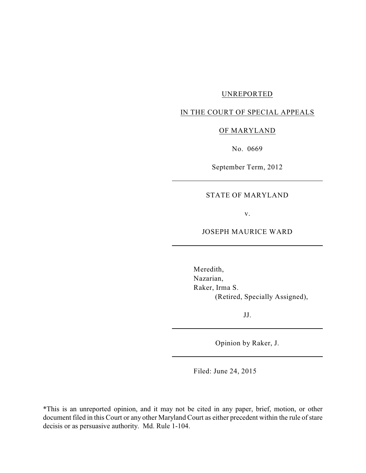## UNREPORTED

## IN THE COURT OF SPECIAL APPEALS

### OF MARYLAND

No. 0669

September Term, 2012

# STATE OF MARYLAND

v.

#### JOSEPH MAURICE WARD

Meredith, Nazarian, Raker, Irma S. (Retired, Specially Assigned),

JJ.

Opinion by Raker, J.

Filed: June 24, 2015

\*This is an unreported opinion, and it may not be cited in any paper, brief, motion, or other document filed in this Court or any other Maryland Court as either precedent within the rule of stare decisis or as persuasive authority. Md. Rule 1-104.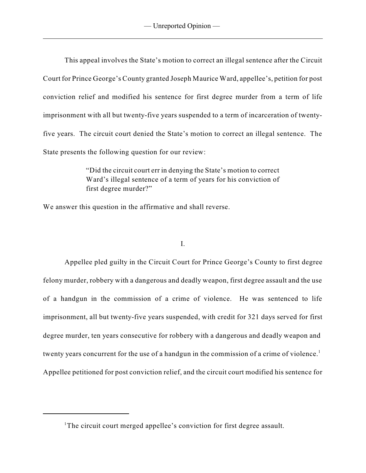This appeal involves the State's motion to correct an illegal sentence after the Circuit Court for Prince George's County granted Joseph Maurice Ward, appellee's, petition for post conviction relief and modified his sentence for first degree murder from a term of life imprisonment with all but twenty-five years suspended to a term of incarceration of twentyfive years. The circuit court denied the State's motion to correct an illegal sentence. The State presents the following question for our review:

> "Did the circuit court err in denying the State's motion to correct Ward's illegal sentence of a term of years for his conviction of first degree murder?"

We answer this question in the affirmative and shall reverse.

I.

Appellee pled guilty in the Circuit Court for Prince George's County to first degree felony murder, robbery with a dangerous and deadly weapon, first degree assault and the use of a handgun in the commission of a crime of violence. He was sentenced to life imprisonment, all but twenty-five years suspended, with credit for 321 days served for first degree murder, ten years consecutive for robbery with a dangerous and deadly weapon and twenty years concurrent for the use of a handgun in the commission of a crime of violence.<sup>1</sup> Appellee petitioned for post conviction relief, and the circuit court modified his sentence for

<sup>&</sup>lt;sup>1</sup>The circuit court merged appellee's conviction for first degree assault.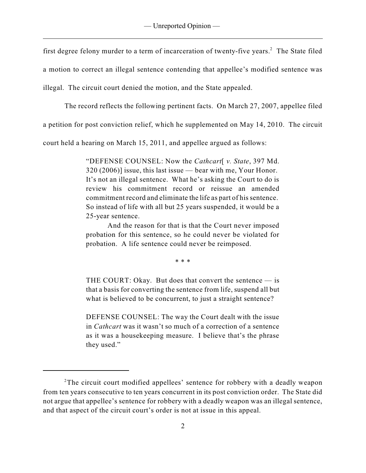first degree felony murder to a term of incarceration of twenty-five years.<sup>2</sup> The State filed

a motion to correct an illegal sentence contending that appellee's modified sentence was

illegal. The circuit court denied the motion, and the State appealed.

The record reflects the following pertinent facts. On March 27, 2007, appellee filed

a petition for post conviction relief, which he supplemented on May 14, 2010. The circuit

court held a hearing on March 15, 2011, and appellee argued as follows:

"DEFENSE COUNSEL: Now the *Cathcart*[ *v. State*, 397 Md. 320 (2006)] issue, this last issue — bear with me, Your Honor. It's not an illegal sentence. What he's asking the Court to do is review his commitment record or reissue an amended commitment record and eliminate the life as part of hissentence. So instead of life with all but 25 years suspended, it would be a 25-year sentence.

And the reason for that is that the Court never imposed probation for this sentence, so he could never be violated for probation. A life sentence could never be reimposed.

\* \* \*

THE COURT: Okay. But does that convert the sentence  $-$  is that a basis for converting the sentence from life, suspend all but what is believed to be concurrent, to just a straight sentence?

DEFENSE COUNSEL: The way the Court dealt with the issue in *Cathcart* was it wasn't so much of a correction of a sentence as it was a housekeeping measure. I believe that's the phrase they used."

 $2$ The circuit court modified appellees' sentence for robbery with a deadly weapon from ten years consecutive to ten years concurrent in its post conviction order. The State did not argue that appellee's sentence for robbery with a deadly weapon was an illegal sentence, and that aspect of the circuit court's order is not at issue in this appeal.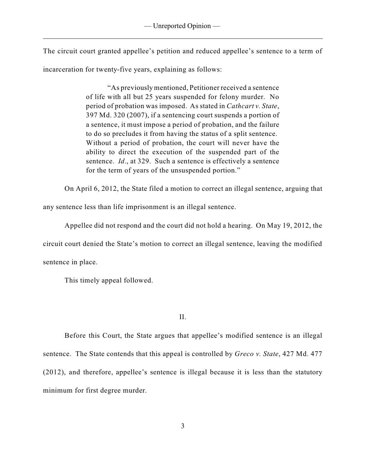The circuit court granted appellee's petition and reduced appellee's sentence to a term of incarceration for twenty-five years, explaining as follows:

> "As previously mentioned, Petitioner received a sentence of life with all but 25 years suspended for felony murder. No period of probation was imposed. As stated in *Cathcart v. State*, 397 Md. 320 (2007), if a sentencing court suspends a portion of a sentence, it must impose a period of probation, and the failure to do so precludes it from having the status of a split sentence. Without a period of probation, the court will never have the ability to direct the execution of the suspended part of the sentence. *Id*., at 329. Such a sentence is effectively a sentence for the term of years of the unsuspended portion."

On April 6, 2012, the State filed a motion to correct an illegal sentence, arguing that

any sentence less than life imprisonment is an illegal sentence.

Appellee did not respond and the court did not hold a hearing. On May 19, 2012, the circuit court denied the State's motion to correct an illegal sentence, leaving the modified sentence in place.

This timely appeal followed.

II.

Before this Court, the State argues that appellee's modified sentence is an illegal sentence. The State contends that this appeal is controlled by *Greco v. State*, 427 Md. 477 (2012), and therefore, appellee's sentence is illegal because it is less than the statutory minimum for first degree murder.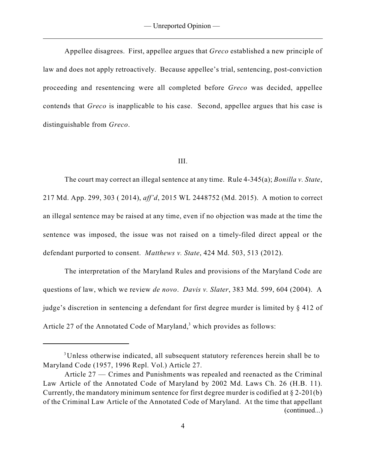Appellee disagrees. First, appellee argues that *Greco* established a new principle of law and does not apply retroactively. Because appellee's trial, sentencing, post-conviction proceeding and resentencing were all completed before *Greco* was decided, appellee contends that *Greco* is inapplicable to his case. Second, appellee argues that his case is distinguishable from *Greco*.

#### III.

The court may correct an illegal sentence at any time. Rule 4-345(a); *Bonilla v. State*, 217 Md. App. 299, 303 ( 2014), *aff'd*, 2015 WL 2448752 (Md. 2015). A motion to correct an illegal sentence may be raised at any time, even if no objection was made at the time the sentence was imposed, the issue was not raised on a timely-filed direct appeal or the defendant purported to consent. *Matthews v. State*, 424 Md. 503, 513 (2012).

The interpretation of the Maryland Rules and provisions of the Maryland Code are questions of law, which we review *de novo*. *Davis v. Slater*, 383 Md. 599, 604 (2004). A judge's discretion in sentencing a defendant for first degree murder is limited by § 412 of Article 27 of the Annotated Code of Maryland,<sup>3</sup> which provides as follows:

<sup>&</sup>lt;sup>3</sup>Unless otherwise indicated, all subsequent statutory references herein shall be to Maryland Code (1957, 1996 Repl. Vol.) Article 27.

Article 27 — Crimes and Punishments was repealed and reenacted as the Criminal Law Article of the Annotated Code of Maryland by 2002 Md. Laws Ch. 26 (H.B. 11). Currently, the mandatory minimum sentence for first degree murder is codified at § 2-201(b) of the Criminal Law Article of the Annotated Code of Maryland. At the time that appellant (continued...)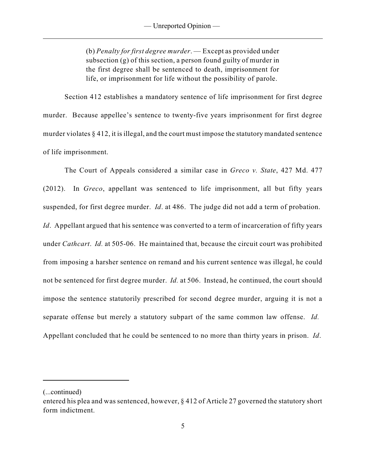(b) *Penalty for first degree murder*. — Except as provided under subsection (g) of this section, a person found guilty of murder in the first degree shall be sentenced to death, imprisonment for life, or imprisonment for life without the possibility of parole.

Section 412 establishes a mandatory sentence of life imprisonment for first degree murder. Because appellee's sentence to twenty-five years imprisonment for first degree murder violates  $\S 412$ , it is illegal, and the court must impose the statutory mandated sentence of life imprisonment.

The Court of Appeals considered a similar case in *Greco v. State*, 427 Md. 477 (2012). In *Greco*, appellant was sentenced to life imprisonment, all but fifty years suspended, for first degree murder. *Id*. at 486. The judge did not add a term of probation. *Id.* Appellant argued that his sentence was converted to a term of incarceration of fifty years under *Cathcart*. *Id.* at 505-06. He maintained that, because the circuit court was prohibited from imposing a harsher sentence on remand and his current sentence was illegal, he could not be sentenced for first degree murder. *Id.* at 506. Instead, he continued, the court should impose the sentence statutorily prescribed for second degree murder, arguing it is not a separate offense but merely a statutory subpart of the same common law offense. *Id.* Appellant concluded that he could be sentenced to no more than thirty years in prison. *Id*.

<sup>(...</sup>continued)

entered his plea and was sentenced, however, § 412 of Article 27 governed the statutory short form indictment.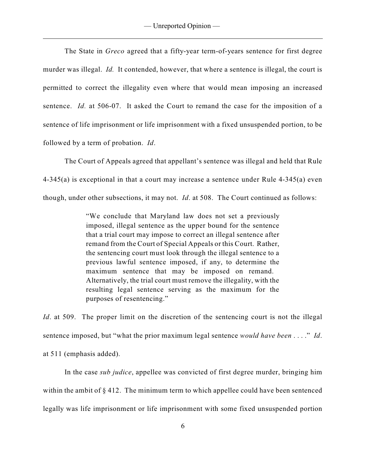The State in *Greco* agreed that a fifty-year term-of-years sentence for first degree murder was illegal. *Id.* It contended, however, that where a sentence is illegal, the court is permitted to correct the illegality even where that would mean imposing an increased sentence. *Id.* at 506-07. It asked the Court to remand the case for the imposition of a sentence of life imprisonment or life imprisonment with a fixed unsuspended portion, to be followed by a term of probation. *Id*.

The Court of Appeals agreed that appellant's sentence was illegal and held that Rule 4-345(a) is exceptional in that a court may increase a sentence under Rule 4-345(a) even though, under other subsections, it may not. *Id*. at 508. The Court continued as follows:

> "We conclude that Maryland law does not set a previously imposed, illegal sentence as the upper bound for the sentence that a trial court may impose to correct an illegal sentence after remand from the Court of Special Appeals or this Court. Rather, the sentencing court must look through the illegal sentence to a previous lawful sentence imposed, if any, to determine the maximum sentence that may be imposed on remand. Alternatively, the trial court must remove the illegality, with the resulting legal sentence serving as the maximum for the purposes of resentencing."

*Id.* at 509. The proper limit on the discretion of the sentencing court is not the illegal sentence imposed, but "what the prior maximum legal sentence *would have been* . . . ." *Id*. at 511 (emphasis added).

In the case *sub judice*, appellee was convicted of first degree murder, bringing him within the ambit of §412. The minimum term to which appellee could have been sentenced legally was life imprisonment or life imprisonment with some fixed unsuspended portion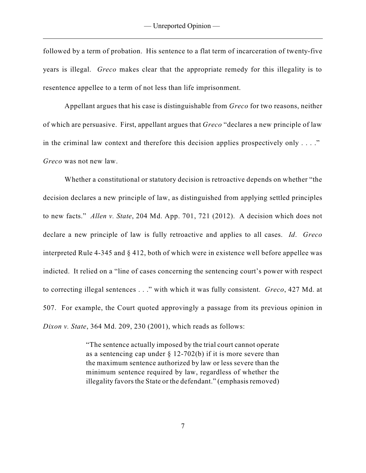followed by a term of probation. His sentence to a flat term of incarceration of twenty-five years is illegal. *Greco* makes clear that the appropriate remedy for this illegality is to resentence appellee to a term of not less than life imprisonment.

Appellant argues that his case is distinguishable from *Greco* for two reasons, neither of which are persuasive. First, appellant argues that *Greco* "declares a new principle of law in the criminal law context and therefore this decision applies prospectively only  $\dots$ ." *Greco* was not new law.

Whether a constitutional or statutory decision is retroactive depends on whether "the decision declares a new principle of law, as distinguished from applying settled principles to new facts." *Allen v. State*, 204 Md. App. 701, 721 (2012). A decision which does not declare a new principle of law is fully retroactive and applies to all cases. *Id*. *Greco* interpreted Rule 4-345 and § 412, both of which were in existence well before appellee was indicted. It relied on a "line of cases concerning the sentencing court's power with respect to correcting illegal sentences . . ." with which it was fully consistent. *Greco*, 427 Md. at 507. For example, the Court quoted approvingly a passage from its previous opinion in *Dixon v. State*, 364 Md. 209, 230 (2001), which reads as follows:

> "The sentence actually imposed by the trial court cannot operate as a sentencing cap under  $\S$  12-702(b) if it is more severe than the maximum sentence authorized by law or less severe than the minimum sentence required by law, regardless of whether the illegality favors the State or the defendant." (emphasis removed)